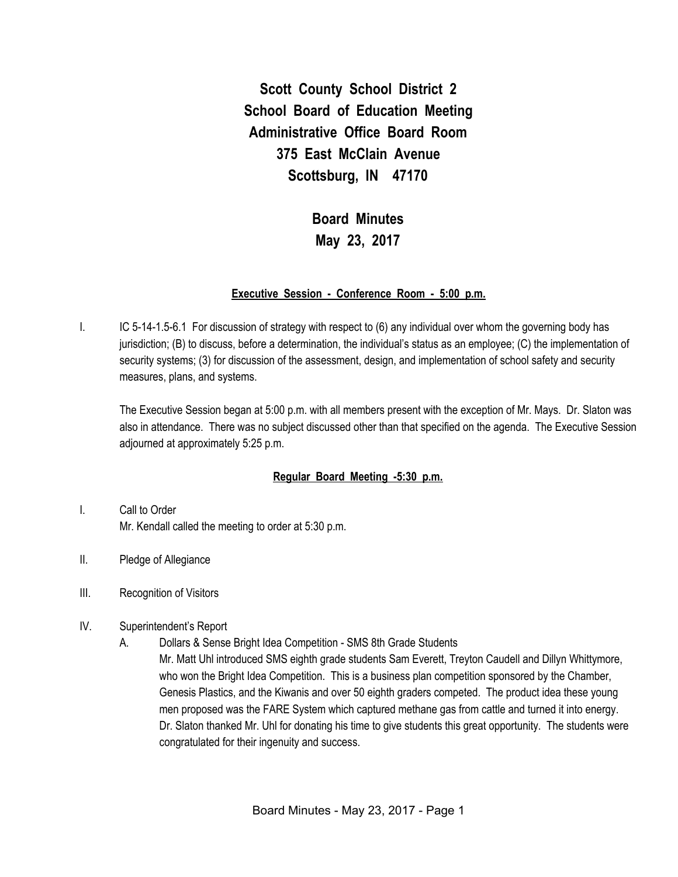**Scott County School District 2 School Board of Education Meeting Administrative Office Board Room 375 East McClain Avenue Scottsburg, IN 47170**

# **Board Minutes May 23, 2017**

#### **Executive Session - Conference Room - 5:00 p.m.**

I. IC 5-14-1.5-6.1 For discussion of strategy with respect to (6) any individual over whom the governing body has jurisdiction; (B) to discuss, before a determination, the individual's status as an employee; (C) the implementation of security systems; (3) for discussion of the assessment, design, and implementation of school safety and security measures, plans, and systems.

The Executive Session began at 5:00 p.m. with all members present with the exception of Mr. Mays. Dr. Slaton was also in attendance. There was no subject discussed other than that specified on the agenda. The Executive Session adjourned at approximately 5:25 p.m.

#### **Regular Board Meeting -5:30 p.m.**

- I. Call to Order Mr. Kendall called the meeting to order at 5:30 p.m.
- II. Pledge of Allegiance
- III. Recognition of Visitors
- IV. Superintendent's Report
	- A. Dollars & Sense Bright Idea Competition SMS 8th Grade Students Mr. Matt Uhl introduced SMS eighth grade students Sam Everett, Treyton Caudell and Dillyn Whittymore, who won the Bright Idea Competition. This is a business plan competition sponsored by the Chamber, Genesis Plastics, and the Kiwanis and over 50 eighth graders competed. The product idea these young men proposed was the FARE System which captured methane gas from cattle and turned it into energy. Dr. Slaton thanked Mr. Uhl for donating his time to give students this great opportunity. The students were congratulated for their ingenuity and success.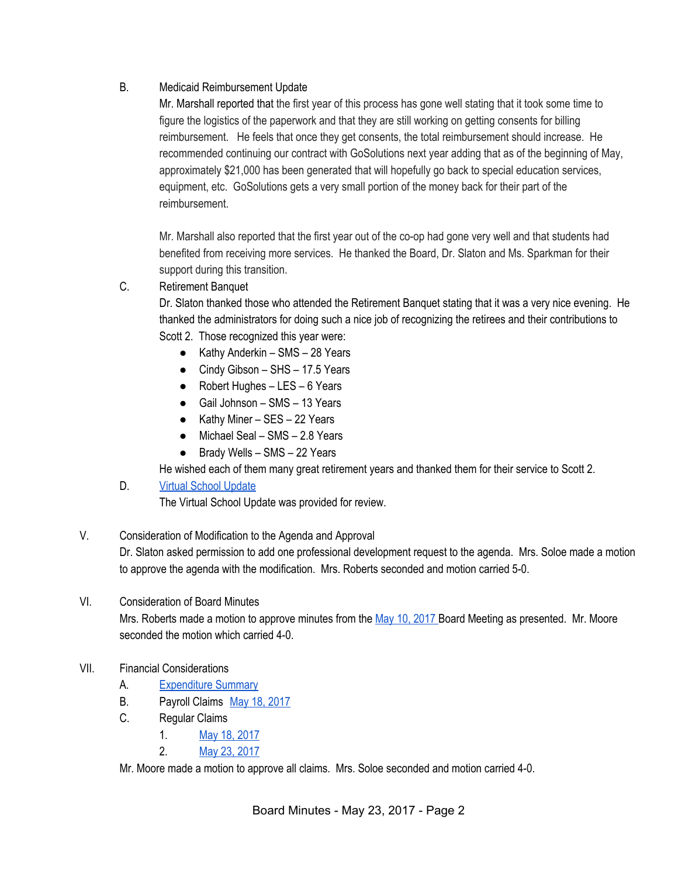# B. Medicaid Reimbursement Update

Mr. Marshall reported that the first year of this process has gone well stating that it took some time to figure the logistics of the paperwork and that they are still working on getting consents for billing reimbursement. He feels that once they get consents, the total reimbursement should increase. He recommended continuing our contract with GoSolutions next year adding that as of the beginning of May, approximately \$21,000 has been generated that will hopefully go back to special education services, equipment, etc. GoSolutions gets a very small portion of the money back for their part of the reimbursement.

Mr. Marshall also reported that the first year out of the co-op had gone very well and that students had benefited from receiving more services. He thanked the Board, Dr. Slaton and Ms. Sparkman for their support during this transition.

C. Retirement Banquet

Dr. Slaton thanked those who attended the Retirement Banquet stating that it was a very nice evening. He thanked the administrators for doing such a nice job of recognizing the retirees and their contributions to Scott 2. Those recognized this year were:

- $\bullet$  Kathy Anderkin SMS 28 Years
- Cindy Gibson SHS 17.5 Years
- Robert Hughes LES 6 Years
- Gail Johnson SMS 13 Years
- Kathy Miner SES 22 Years
- $\bullet$  Michael Seal SMS 2.8 Years
- Brady Wells SMS 22 Years

He wished each of them many great retirement years and thanked them for their service to Scott 2.

## D. Virtual School [Update](https://docs.google.com/spreadsheets/d/1ONWdob7GActvXlsETDTFWRAhI2PbzGiy0b12-cCSTgM/edit#gid=0)

The Virtual School Update was provided for review.

## V. Consideration of Modification to the Agenda and Approval

Dr. Slaton asked permission to add one professional development request to the agenda. Mrs. Soloe made a motion to approve the agenda with the modification. Mrs. Roberts seconded and motion carried 5-0.

## VI. Consideration of Board Minutes

Mrs. Roberts made a motion to approve minutes from the May 10, [2017](https://docs.google.com/document/d/1jGpuC7FUdsnTCwDB4rvI7FR28cktUCM3LU0TbCcoyC4/edit) Board Meeting as presented. Mr. Moore seconded the motion which carried 4-0.

## VII. Financial Considerations

- A. [Expenditure](https://drive.google.com/file/d/0BxXvxnGh3EX1TnRyaG0tUWZWbnd4V2MxWlowREhtZnpYZVJZ/view) Summary
- B. Payroll Claims May 18, [2017](https://drive.google.com/file/d/0BxXvxnGh3EX1cjJMQk1jU0c3NWYzV0JSeTdBTlZzWTF4VmlJ/view)
- C. Regular Claims
	- 1. May 18, [2017](https://drive.google.com/file/d/0BxXvxnGh3EX1NWR0ZktsQlhGQ1FZd3lmd1VtUEtlRkYwbXBn/view)
	- 2. May 23, [2017](https://drive.google.com/file/d/0BxXvxnGh3EX1UDVMTzg3SzNaR0paaUFaZklKRW9kR0xINFE0/view)

Mr. Moore made a motion to approve all claims. Mrs. Soloe seconded and motion carried 4-0.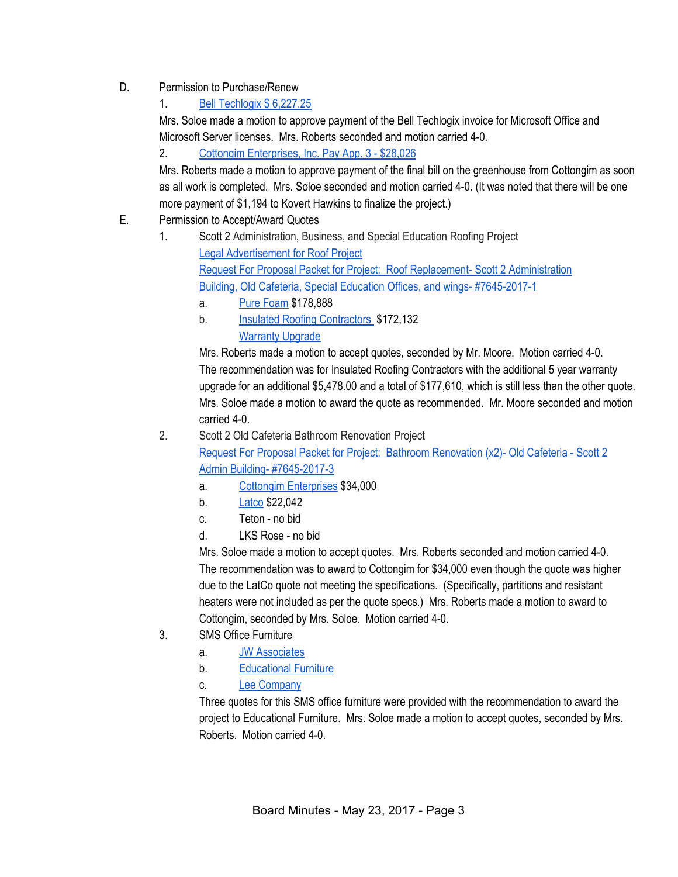- D. Permission to Purchase/Renew
	- 1. Bell [Techlogix](https://drive.google.com/file/d/0BxXvxnGh3EX1ejFrem9IQnZRdkE4Z2l3X1J5VmcwYjhucjdn/view) \$ 6,227.25

Mrs. Soloe made a motion to approve payment of the Bell Techlogix invoice for Microsoft Office and Microsoft Server licenses. Mrs. Roberts seconded and motion carried 4-0.

2. Cottongim [Enterprises,](https://drive.google.com/file/d/0BxXvxnGh3EX1LURnWHZqeFJDSmcwOThmU3BQNGNWNFJJQzRv/view) Inc. Pay App. 3 - \$28,026

Mrs. Roberts made a motion to approve payment of the final bill on the greenhouse from Cottongim as soon as all work is completed. Mrs. Soloe seconded and motion carried 4-0. (It was noted that there will be one more payment of \$1,194 to Kovert Hawkins to finalize the project.)

- E. Permission to Accept/Award Quotes
	- 1. Scott 2 Administration, Business, and Special Education Roofing Project Legal [Advertisement](https://drive.google.com/file/d/0BxXvxnGh3EX1NDVqVFZ5dUc5b2FaNUZLMi1WaWdnUjFyVWxR/view) for Roof Project Request For Proposal Packet for Project: Roof Replacement- Scott 2 [Administration](https://drive.google.com/file/d/0BxXvxnGh3EX1bEJ6VklQVHpiaXpyRmJzVUtGX0taTThzaHpn/view) Building, Old Cafeteria, Special Education Offices, and wings- [#7645-2017-1](https://drive.google.com/file/d/0BxXvxnGh3EX1bEJ6VklQVHpiaXpyRmJzVUtGX0taTThzaHpn/view)
		- a. Pure [Foam](https://drive.google.com/file/d/0BxXvxnGh3EX1NTRYanphODJxOC1mUVExemVnMUFLQ1lkXzdZ/view) \$178,888
		- b. Insulated Roofing [Contractors](https://drive.google.com/file/d/0BxXvxnGh3EX1SDJ6b2wteXBVdE1IMmlnMjJ5OWFsNGZrMnhn/view) \$172,132 [Warranty](https://drive.google.com/file/d/0BxXvxnGh3EX1bUs1c25Ebi1qaFhhWmZEUy1wbEdaeE5laTVn/view) Upgrade

Mrs. Roberts made a motion to accept quotes, seconded by Mr. Moore. Motion carried 4-0. The recommendation was for Insulated Roofing Contractors with the additional 5 year warranty upgrade for an additional \$5,478.00 and a total of \$177,610, which is still less than the other quote. Mrs. Soloe made a motion to award the quote as recommended. Mr. Moore seconded and motion carried 4-0.

- 2. Scott 2 Old Cafeteria Bathroom Renovation Project Request For Proposal Packet for Project: Bathroom [Renovation](https://drive.google.com/file/d/0BxXvxnGh3EX1bzd2V2JNYmUteE9kdlJpSk9QVVM5c1BpZGFj/view) (x2)- Old Cafeteria - Scott 2 Admin Building- [#7645-2017-3](https://drive.google.com/file/d/0BxXvxnGh3EX1bzd2V2JNYmUteE9kdlJpSk9QVVM5c1BpZGFj/view)
	- a. Cottongim [Enterprises](https://drive.google.com/file/d/0BxXvxnGh3EX1RmVKNkZQS0ViV25jdFc4cTdPR1pwbElweE1j/view) \$34,000
	- b. [Latco](https://drive.google.com/file/d/0BxXvxnGh3EX1VG1xNEpRUjhqazFPdzU1ajlkRlhmN2t3d1Z3/view) \$22,042
	- c. Teton no bid
	- d. LKS Rose no bid

Mrs. Soloe made a motion to accept quotes. Mrs. Roberts seconded and motion carried 4-0. The recommendation was to award to Cottongim for \$34,000 even though the quote was higher due to the LatCo quote not meeting the specifications. (Specifically, partitions and resistant heaters were not included as per the quote specs.) Mrs. Roberts made a motion to award to Cottongim, seconded by Mrs. Soloe. Motion carried 4-0.

- 3. SMS Office Furniture
	- a. JW [Associates](https://drive.google.com/file/d/0BxXvxnGh3EX1dVh3Z0xwd0xFc05QQk5lZmRCZ2c2TU9IUy00/view)
	- b. [Educational](https://drive.google.com/file/d/0BxXvxnGh3EX1Vnk5UmRTT3B6TGtfa0N4bzB1ZmM3c3gyZThN/view) Furniture
	- c. Lee [Company](https://drive.google.com/file/d/0BxXvxnGh3EX1a0ZPOFhQTjF6VlNnYi02M3l4Yk1fVEYyQjI0/view)

Three quotes for this SMS office furniture were provided with the recommendation to award the project to Educational Furniture. Mrs. Soloe made a motion to accept quotes, seconded by Mrs. Roberts. Motion carried 4-0.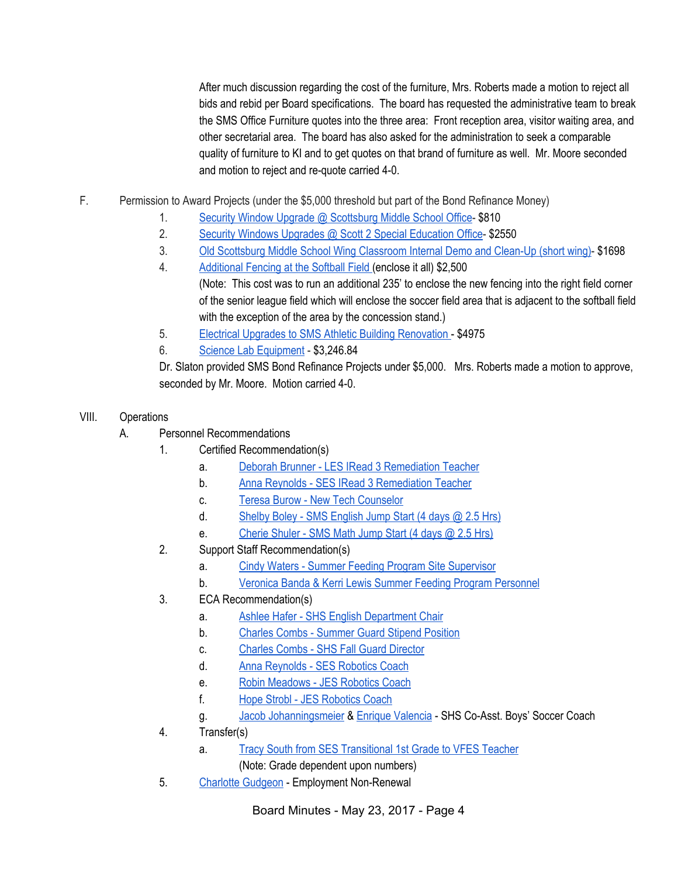After much discussion regarding the cost of the furniture, Mrs. Roberts made a motion to reject all bids and rebid per Board specifications. The board has requested the administrative team to break the SMS Office Furniture quotes into the three area: Front reception area, visitor waiting area, and other secretarial area. The board has also asked for the administration to seek a comparable quality of furniture to KI and to get quotes on that brand of furniture as well. Mr. Moore seconded and motion to reject and re-quote carried 4-0.

- F. Permission to Award Projects (under the \$5,000 threshold but part of the Bond Refinance Money)
	- 1. Security Window Upgrade @ [Scottsburg](https://drive.google.com/file/d/0BxXvxnGh3EX1Y1piaF91MWJsMVZPeHc3Mk5wVzFKeXZrV2NN/view) Middle School Office- \$810
	- 2. Security Windows Upgrades @ Scott 2 Special [Education](https://drive.google.com/file/d/0BxXvxnGh3EX1dmhNb0JqVk41czJES0FKWEZCb244dGFfSS00/view) Office- \$2550
	- 3. Old [Scottsburg](https://drive.google.com/file/d/0BxXvxnGh3EX1aUpMblVjQmVYLXlicHpkWUJDLWY3bE1CcUtF/view) Middle School Wing Classroom Internal Demo and Clean-Up (short wing)- \$1698
	- 4. [Additional](https://drive.google.com/file/d/0BxXvxnGh3EX1Z3ZpVUhrWWEzbDNGeG9NYXZfdFNGNk45QTdj/view) Fencing at the Softball Field (enclose it all) \$2,500 (Note: This cost was to run an additional 235' to enclose the new fencing into the right field corner of the senior league field which will enclose the soccer field area that is adjacent to the softball field with the exception of the area by the concession stand.)
	- 5. Electrical Upgrades to SMS Athletic Building [Renovation](https://drive.google.com/file/d/0BxXvxnGh3EX1TE1OOU93RThlZElnV0JPTng3RGUwLUc3bEk0/view) \$4975
	- 6. Science Lab [Equipment](https://drive.google.com/file/d/0BxXvxnGh3EX1NUhCaDh0aVpTR1VNLV92MEtNOUpJSUdQY253/view) \$3,246.84

Dr. Slaton provided SMS Bond Refinance Projects under \$5,000. Mrs. Roberts made a motion to approve, seconded by Mr. Moore. Motion carried 4-0.

- VIII. Operations
	- A. Personnel Recommendations
		- 1. Certified Recommendation(s)
			- a. Deborah Brunner LES IRead 3 [Remediation](https://drive.google.com/file/d/0BxXvxnGh3EX1c3ktdHVmcHhJR0VvdEJMQWFJMTZPV09CV2RB/view) Teacher
			- b. Anna Reynolds SES IRead 3 [Remediation](https://drive.google.com/file/d/0BxXvxnGh3EX1SlFEb2djWklxdTlSU29jQkUzbTNZUDNRZi1J/view) Teacher
			- c. Teresa Burow New Tech [Counselor](https://drive.google.com/file/d/0BxXvxnGh3EX1MjNaSndrNDlPdjUzS3pldWNjQ0Y4a1ZkdXRN/view)
			- d. Shelby Boley SMS [English](https://drive.google.com/file/d/0BxXvxnGh3EX1MTBFanVLRms3MVR4WXpBMWRwSWhaMEJva1lR/view) Jump Start (4 days @ 2.5 Hrs)
			- e. [Cherie](https://drive.google.com/file/d/0BxXvxnGh3EX1NnlGYmQwV3ZOUHYxWFh0LVI0TEcwUXV5clVn/view) Shuler SMS Math Jump Start (4 days @ 2.5 Hrs)
		- 2. Support Staff Recommendation(s)
			- a. Cindy Waters Summer Feeding Program Site [Supervisor](https://drive.google.com/file/d/0BxXvxnGh3EX1ckc4YWhmVXJVMFdORnV4ckw5NUtmcFBGNHRB/view)
			- b. Veronica Banda & Kerri Lewis Summer Feeding Program [Personnel](https://drive.google.com/file/d/0BxXvxnGh3EX1NXlxX3UzTTlPR3RkVmxoQmMyVGV0eTVEbl9j/view)
		- 3. ECA Recommendation(s)
			- a. Ashlee Hafer SHS English [Department](https://drive.google.com/file/d/0BxXvxnGh3EX1bE5pMENseVNhNXF2WDlJQ25wc3B4dndRR3pB/view) Chair
			- b. Charles Combs [Summer](https://drive.google.com/file/d/0BxXvxnGh3EX1ZlY0ZGVPcS1lMEJ5aGw2anpDczNabVhGNjVB/view) Guard Stipend Position
			- c. Charles Combs SHS Fall Guard [Director](https://drive.google.com/file/d/0BxXvxnGh3EX1VmtDclVTV19yRUoxWkp1eTVyUUxOUVp6NkpJ/view)
			- d. Anna [Reynolds](https://drive.google.com/file/d/0BxXvxnGh3EX1MTd4Q2NBOWVxa1hvTXhKbWFsc3o3Y3FBa0Nj/view) SES Robotics Coach
			- e. Robin [Meadows](https://drive.google.com/file/d/0BxXvxnGh3EX1bV9kMFlRb1NweUNHazlaRFlsWk44Sk9ZdE5R/view) JES Robotics Coach
			- f. Hope Strobl JES [Robotics](https://drive.google.com/file/d/0BxXvxnGh3EX1MGZ0ZGtoeXlrWG8zZXdkcDlwQ0xockJyem1V/view) Coach
			- g. Jacob [Johanningsmeier](https://drive.google.com/file/d/0BxXvxnGh3EX1VG9RY0hXdXVKdGRFX2J4Y3pkczZhaHI3Z1RB/view) & Enrique [Valencia](https://drive.google.com/file/d/0BxXvxnGh3EX1WjkyMjFLa3ZXaVpwTnU5ZVluclFITWZBUXBF/view) SHS Co-Asst. Boys' Soccer Coach
		- 4. Transfer(s)
			- a. Tracy South from SES [Transitional](https://drive.google.com/file/d/0BxXvxnGh3EX1ODRvMWdwM1JWeHRqS0l2OVpjWEVUVU1FeDZJ/view) 1st Grade to VFES Teacher
				- (Note: Grade dependent upon numbers)
		- 5. Charlotte [Gudgeon](https://drive.google.com/file/d/0BxXvxnGh3EX1cktneEh5RFpjQmdSc2dLM1E0VWZSRXZKM3ln/view) Employment Non-Renewal

Board Minutes - May 23, 2017 - Page 4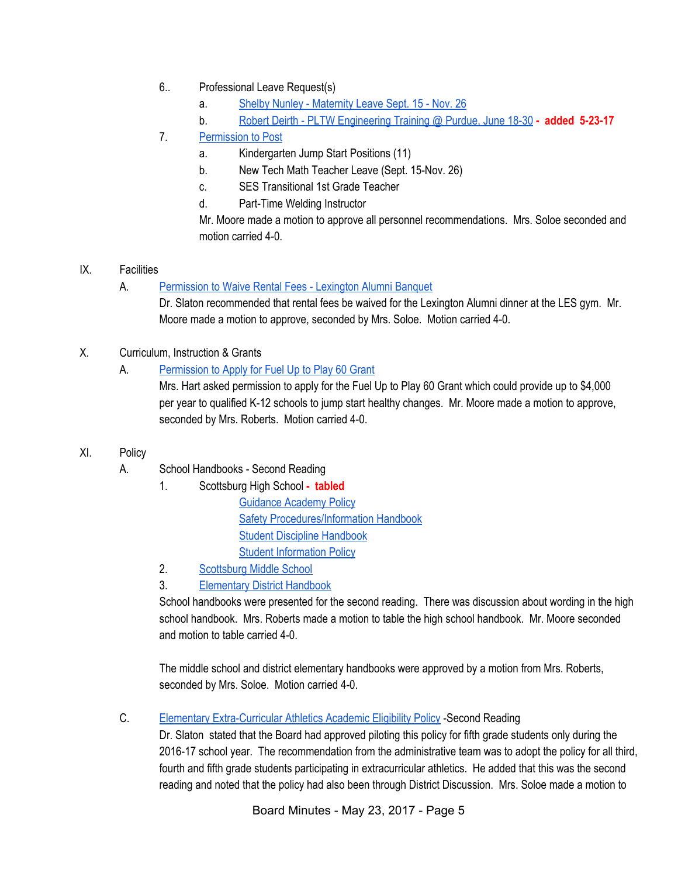- 6.. Professional Leave Request(s)
	- a. Shelby Nunley [Maternity](https://drive.google.com/file/d/0BxXvxnGh3EX1VEdyZThIQ1ZpQkM2SVQ2WnBibndncDd3cmRV/view) Leave Sept. 15 Nov. 26
	- b. Robert Deirth PLTW [Engineering](https://drive.google.com/file/d/0BxXvxnGh3EX1Vlh1YlRiSDhwTmdmamljSmlxaTZJN1NKTm1J/view) Training @ Purdue, June 18-30 **- added 5-23-17**
- 7. [Permission](https://docs.google.com/document/d/1RcHyeqVmPk-nGzmkKTr-ZTop_EMviQdYSR-gCRbM2RE/edit) to Post
	- a. Kindergarten Jump Start Positions (11)
	- b. New Tech Math Teacher Leave (Sept. 15-Nov. 26)
	- c. SES Transitional 1st Grade Teacher
	- d. Part-Time Welding Instructor

Mr. Moore made a motion to approve all personnel recommendations. Mrs. Soloe seconded and motion carried 4-0.

# IX. Facilities

A. [Permission](https://drive.google.com/file/d/0BxXvxnGh3EX1LU8wb1o5eFBaVGo4UTJVODduVVNGeElHellv/view) to Waive Rental Fees - Lexington Alumni Banquet

Dr. Slaton recommended that rental fees be waived for the Lexington Alumni dinner at the LES gym. Mr. Moore made a motion to approve, seconded by Mrs. Soloe. Motion carried 4-0.

X. Curriculum, Instruction & Grants

# A. [Permission](https://drive.google.com/file/d/0BxXvxnGh3EX1MnBDcUctX2NBYWRmYmJLRTNkRi1la2xUZUNF/view) to Apply for Fuel Up to Play 60 Grant

Mrs. Hart asked permission to apply for the Fuel Up to Play 60 Grant which could provide up to \$4,000 per year to qualified K-12 schools to jump start healthy changes. Mr. Moore made a motion to approve, seconded by Mrs. Roberts. Motion carried 4-0.

- XI. Policy
	- A. School Handbooks Second Reading
		- 1. Scottsburg High School **- tabled** [Guidance](https://drive.google.com/file/d/0BxXvxnGh3EX1cGIwM0xkcEo3cTFnRnRIV0JsWDIwdXdDNWFZ/view) Academy Policy

Safety [Procedures/Information](https://drive.google.com/file/d/0BxXvxnGh3EX1a3hoSVhHakE3NWp1YzU5WW9GbUlSQ3RnZTRv/view) Handbook Student Discipline [Handbook](https://drive.google.com/file/d/0BxXvxnGh3EX1Y2c5eWFxelBCZXdhTHhFZkxuWVg2Z3hMSmtr/view) Student [Information](https://drive.google.com/file/d/0BxXvxnGh3EX1SVNDbk52Y08xSTRkNnNlRTAzNUlGcXJjY3BN/view) Policy

- 2. [Scottsburg](https://docs.google.com/document/d/1wuUIT5Ktu8UYNbK9LZcIh3Uvk5aUx0ZurrHTyEHdKWg/edit) Middle School
- 3. [Elementary](https://docs.google.com/document/d/1I7yVb4vuvWrXiB5Fcr9Oz6ASbFJ5PeoEWe6GwhcVnHE/edit) District Handbook

School handbooks were presented for the second reading. There was discussion about wording in the high school handbook. Mrs. Roberts made a motion to table the high school handbook. Mr. Moore seconded and motion to table carried 4-0.

The middle school and district elementary handbooks were approved by a motion from Mrs. Roberts, seconded by Mrs. Soloe. Motion carried 4-0.

C. Elementary [Extra-Curricular](https://docs.google.com/document/d/1pTeiAx82tIe2ILYkVs_eHEZNlgbgzDT6oJTbMLwgqjM/edit?ts=590c8eda) Athletics Academic Eligibility Policy -Second Reading

Dr. Slaton stated that the Board had approved piloting this policy for fifth grade students only during the 2016-17 school year. The recommendation from the administrative team was to adopt the policy for all third, fourth and fifth grade students participating in extracurricular athletics. He added that this was the second reading and noted that the policy had also been through District Discussion. Mrs. Soloe made a motion to

Board Minutes - May 23, 2017 - Page 5